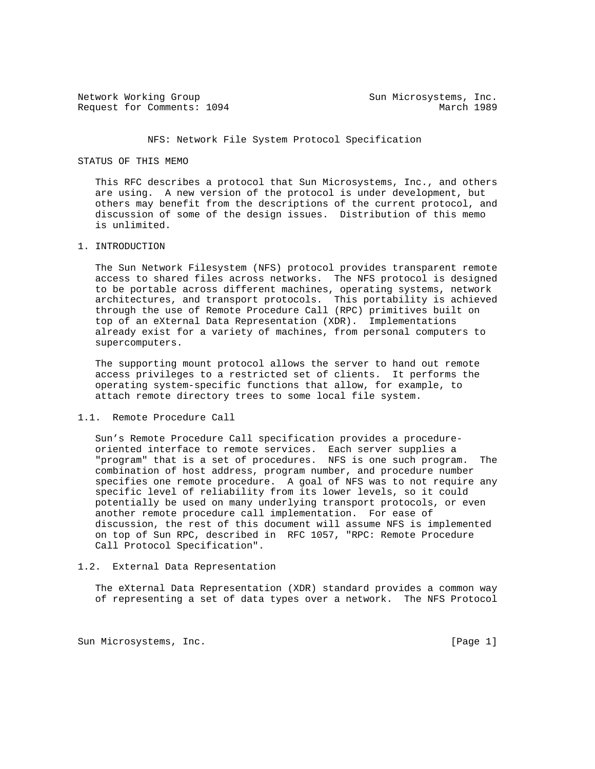Network Working Group Sun Microsystems, Inc. Request for Comments: 1094 March 1989

# NFS: Network File System Protocol Specification

## STATUS OF THIS MEMO

 This RFC describes a protocol that Sun Microsystems, Inc., and others are using. A new version of the protocol is under development, but others may benefit from the descriptions of the current protocol, and discussion of some of the design issues. Distribution of this memo is unlimited.

# 1. INTRODUCTION

 The Sun Network Filesystem (NFS) protocol provides transparent remote access to shared files across networks. The NFS protocol is designed to be portable across different machines, operating systems, network architectures, and transport protocols. This portability is achieved through the use of Remote Procedure Call (RPC) primitives built on top of an eXternal Data Representation (XDR). Implementations already exist for a variety of machines, from personal computers to supercomputers.

 The supporting mount protocol allows the server to hand out remote access privileges to a restricted set of clients. It performs the operating system-specific functions that allow, for example, to attach remote directory trees to some local file system.

## 1.1. Remote Procedure Call

 Sun's Remote Procedure Call specification provides a procedure oriented interface to remote services. Each server supplies a "program" that is a set of procedures. NFS is one such program. The combination of host address, program number, and procedure number specifies one remote procedure. A goal of NFS was to not require any specific level of reliability from its lower levels, so it could potentially be used on many underlying transport protocols, or even another remote procedure call implementation. For ease of discussion, the rest of this document will assume NFS is implemented on top of Sun RPC, described in RFC 1057, "RPC: Remote Procedure Call Protocol Specification".

# 1.2. External Data Representation

 The eXternal Data Representation (XDR) standard provides a common way of representing a set of data types over a network. The NFS Protocol

Sun Microsystems, Inc. [Page 1]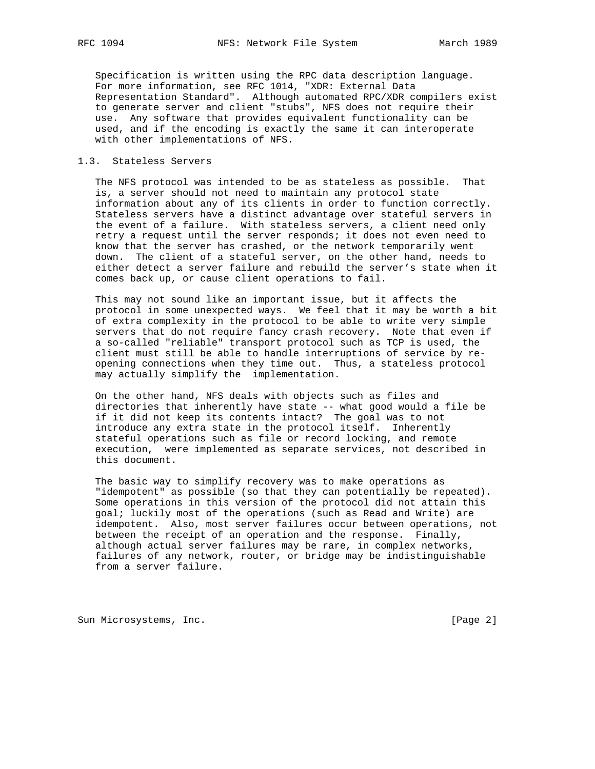Specification is written using the RPC data description language. For more information, see RFC 1014, "XDR: External Data Representation Standard". Although automated RPC/XDR compilers exist to generate server and client "stubs", NFS does not require their use. Any software that provides equivalent functionality can be used, and if the encoding is exactly the same it can interoperate with other implementations of NFS.

# 1.3. Stateless Servers

 The NFS protocol was intended to be as stateless as possible. That is, a server should not need to maintain any protocol state information about any of its clients in order to function correctly. Stateless servers have a distinct advantage over stateful servers in the event of a failure. With stateless servers, a client need only retry a request until the server responds; it does not even need to know that the server has crashed, or the network temporarily went down. The client of a stateful server, on the other hand, needs to either detect a server failure and rebuild the server's state when it comes back up, or cause client operations to fail.

 This may not sound like an important issue, but it affects the protocol in some unexpected ways. We feel that it may be worth a bit of extra complexity in the protocol to be able to write very simple servers that do not require fancy crash recovery. Note that even if a so-called "reliable" transport protocol such as TCP is used, the client must still be able to handle interruptions of service by re opening connections when they time out. Thus, a stateless protocol may actually simplify the implementation.

 On the other hand, NFS deals with objects such as files and directories that inherently have state -- what good would a file be if it did not keep its contents intact? The goal was to not introduce any extra state in the protocol itself. Inherently stateful operations such as file or record locking, and remote execution, were implemented as separate services, not described in this document.

 The basic way to simplify recovery was to make operations as "idempotent" as possible (so that they can potentially be repeated). Some operations in this version of the protocol did not attain this goal; luckily most of the operations (such as Read and Write) are idempotent. Also, most server failures occur between operations, not between the receipt of an operation and the response. Finally, although actual server failures may be rare, in complex networks, failures of any network, router, or bridge may be indistinguishable from a server failure.

Sun Microsystems, Inc. [Page 2]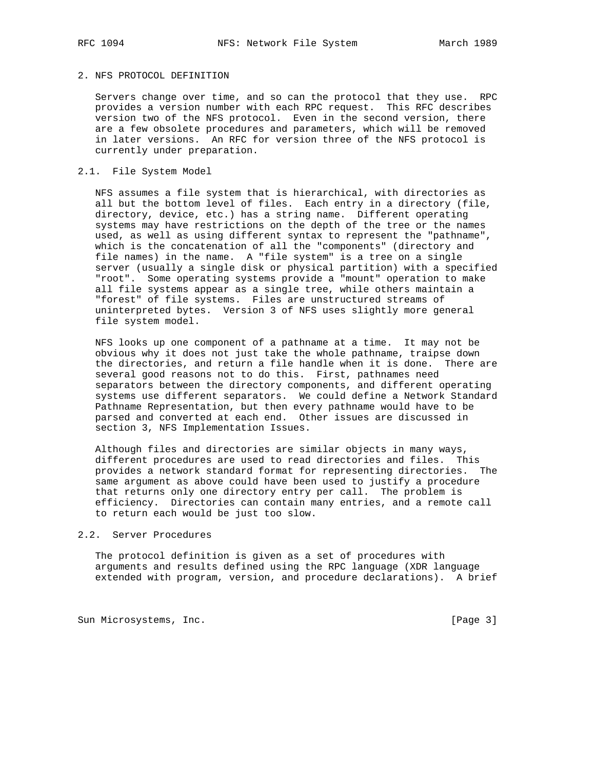# 2. NFS PROTOCOL DEFINITION

 Servers change over time, and so can the protocol that they use. RPC provides a version number with each RPC request. This RFC describes version two of the NFS protocol. Even in the second version, there are a few obsolete procedures and parameters, which will be removed in later versions. An RFC for version three of the NFS protocol is currently under preparation.

# 2.1. File System Model

 NFS assumes a file system that is hierarchical, with directories as all but the bottom level of files. Each entry in a directory (file, directory, device, etc.) has a string name. Different operating systems may have restrictions on the depth of the tree or the names used, as well as using different syntax to represent the "pathname", which is the concatenation of all the "components" (directory and file names) in the name. A "file system" is a tree on a single server (usually a single disk or physical partition) with a specified "root". Some operating systems provide a "mount" operation to make all file systems appear as a single tree, while others maintain a "forest" of file systems. Files are unstructured streams of uninterpreted bytes. Version 3 of NFS uses slightly more general file system model.

 NFS looks up one component of a pathname at a time. It may not be obvious why it does not just take the whole pathname, traipse down the directories, and return a file handle when it is done. There are several good reasons not to do this. First, pathnames need separators between the directory components, and different operating systems use different separators. We could define a Network Standard Pathname Representation, but then every pathname would have to be parsed and converted at each end. Other issues are discussed in section 3, NFS Implementation Issues.

 Although files and directories are similar objects in many ways, different procedures are used to read directories and files. This provides a network standard format for representing directories. The same argument as above could have been used to justify a procedure that returns only one directory entry per call. The problem is efficiency. Directories can contain many entries, and a remote call to return each would be just too slow.

## 2.2. Server Procedures

 The protocol definition is given as a set of procedures with arguments and results defined using the RPC language (XDR language extended with program, version, and procedure declarations). A brief

Sun Microsystems, Inc. [Page 3]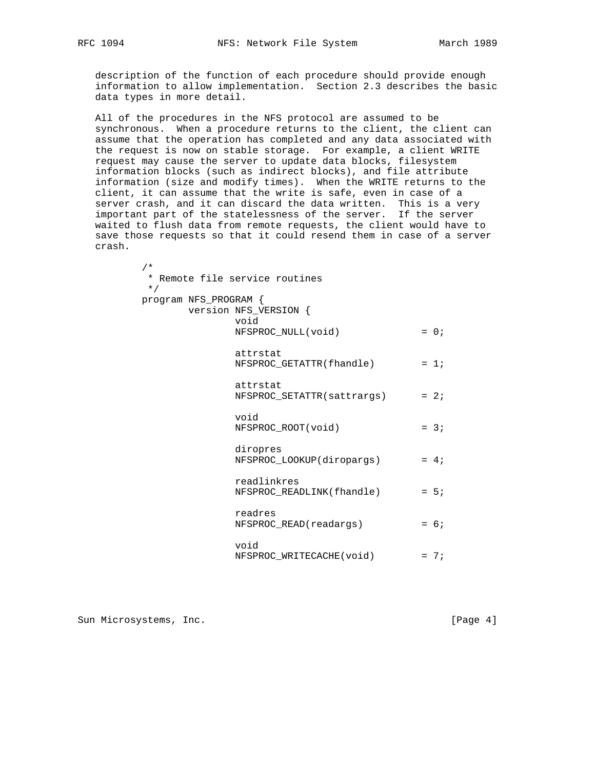description of the function of each procedure should provide enough information to allow implementation. Section 2.3 describes the basic data types in more detail.

 All of the procedures in the NFS protocol are assumed to be synchronous. When a procedure returns to the client, the client can assume that the operation has completed and any data associated with the request is now on stable storage. For example, a client WRITE request may cause the server to update data blocks, filesystem information blocks (such as indirect blocks), and file attribute information (size and modify times). When the WRITE returns to the client, it can assume that the write is safe, even in case of a server crash, and it can discard the data written. This is a very important part of the statelessness of the server. If the server waited to flush data from remote requests, the client would have to save those requests so that it could resend them in case of a server crash.

> \* Remote file service routines \*/ program NFS\_PROGRAM { version NFS\_VERSION { void NFSPROC\_NULL(void) = 0; attrstat  $NFSPROC\_GETATTR(flandle)$  = 1; attrstat  $NFSPROC_SETATTR(satters)$  = 2; void NFSPROC\_ROOT(void) = 3; diropres NFSPROC\_LOOKUP(diropargs) = 4; readlinkres NFSPROC\_READLINK(fhandle) = 5; readres NFSPROC\_READ(readargs) = 6; void NFSPROC WRITECACHE(void) = 7;

Sun Microsystems, Inc. [Page 4]

/\*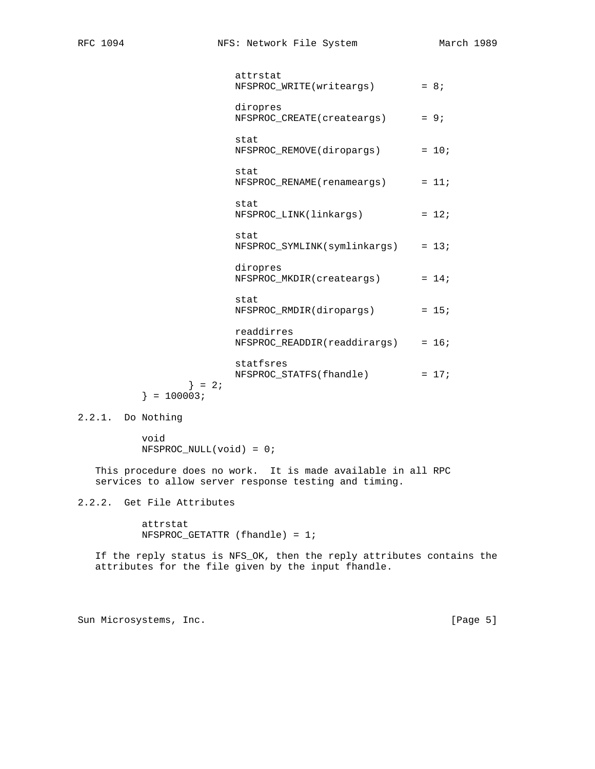|                          | attrstat<br>NFSPROC_WRITE(writeargs)       | $= 8;$  |
|--------------------------|--------------------------------------------|---------|
|                          | diropres<br>NFSPROC_CREATE(createargs)     | $= 9;$  |
|                          | stat<br>NFSPROC_REMOVE(diropargs)          | $= 10;$ |
|                          | stat<br>NFSPROC_RENAME(renameargs)         | $= 11;$ |
|                          | stat<br>NFSPROC_LINK(linkargs)             | $= 12i$ |
|                          | stat<br>NFSPROC_SYMLINK(symlinkargs)       | $= 13;$ |
|                          | diropres<br>NFSPROC MKDIR(createargs)      | $= 14;$ |
|                          | stat<br>NFSPROC_RMDIR(diropargs)           | $= 15;$ |
|                          | readdirres<br>NFSPROC_READDIR(readdirargs) | $= 16;$ |
| $\} = 2i$<br>$= 100003;$ | statfsres<br>NFSPROC_STATFS(fhandle)       | $= 17;$ |
|                          |                                            |         |

2.2.1. Do Nothing

 void NFSPROC\_NULL(void) = 0;

 This procedure does no work. It is made available in all RPC services to allow server response testing and timing.

2.2.2. Get File Attributes

 attrstat NFSPROC\_GETATTR (fhandle) = 1;

 If the reply status is NFS\_OK, then the reply attributes contains the attributes for the file given by the input fhandle.

Sun Microsystems, Inc. [Page 5]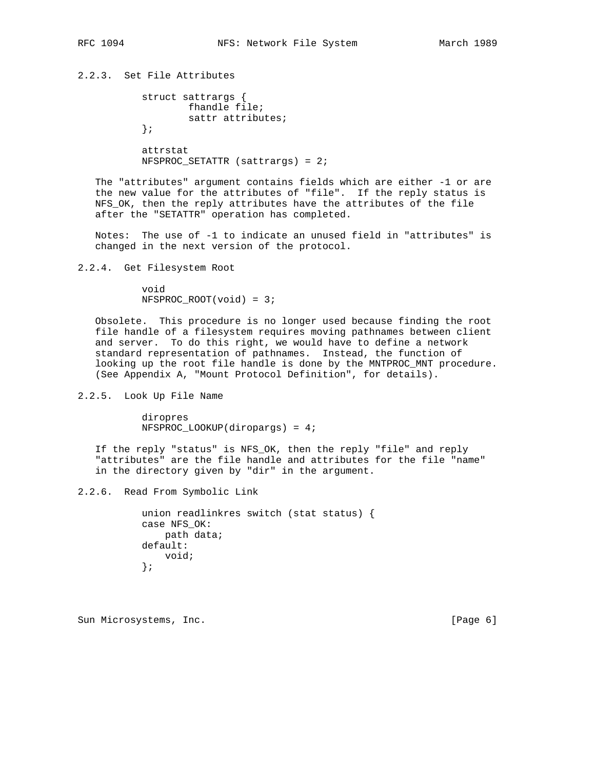2.2.3. Set File Attributes

```
 struct sattrargs {
         fhandle file;
         sattr attributes;
 };
 attrstat
 NFSPROC_SETATTR (sattrargs) = 2;
```
 The "attributes" argument contains fields which are either -1 or are the new value for the attributes of "file". If the reply status is NFS\_OK, then the reply attributes have the attributes of the file after the "SETATTR" operation has completed.

 Notes: The use of -1 to indicate an unused field in "attributes" is changed in the next version of the protocol.

2.2.4. Get Filesystem Root

 void NFSPROC\_ROOT(void) = 3;

 Obsolete. This procedure is no longer used because finding the root file handle of a filesystem requires moving pathnames between client and server. To do this right, we would have to define a network standard representation of pathnames. Instead, the function of looking up the root file handle is done by the MNTPROC\_MNT procedure. (See Appendix A, "Mount Protocol Definition", for details).

2.2.5. Look Up File Name

 diropres NFSPROC\_LOOKUP(diropargs) = 4;

 If the reply "status" is NFS\_OK, then the reply "file" and reply "attributes" are the file handle and attributes for the file "name" in the directory given by "dir" in the argument.

2.2.6. Read From Symbolic Link

 union readlinkres switch (stat status) { case NFS\_OK: path data; default: void; };

Sun Microsystems, Inc. [Page 6]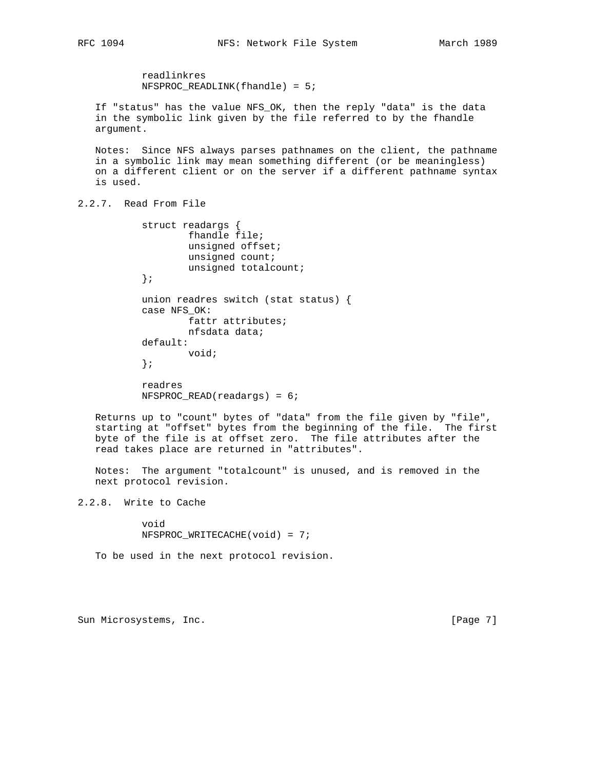readlinkres NFSPROC\_READLINK(fhandle) = 5; If "status" has the value NFS\_OK, then the reply "data" is the data in the symbolic link given by the file referred to by the fhandle argument. Notes: Since NFS always parses pathnames on the client, the pathname in a symbolic link may mean something different (or be meaningless) on a different client or on the server if a different pathname syntax is used. 2.2.7. Read From File struct readargs { fhandle file; unsigned offset; unsigned count; unsigned totalcount; }; union readres switch (stat status) { case NFS\_OK: fattr attributes; nfsdata data; default: void; }; readres NFSPROC\_READ(readargs) = 6;

 Returns up to "count" bytes of "data" from the file given by "file", starting at "offset" bytes from the beginning of the file. The first byte of the file is at offset zero. The file attributes after the read takes place are returned in "attributes".

 Notes: The argument "totalcount" is unused, and is removed in the next protocol revision.

2.2.8. Write to Cache

 void NFSPROC\_WRITECACHE(void) = 7;

To be used in the next protocol revision.

Sun Microsystems, Inc. [Page 7]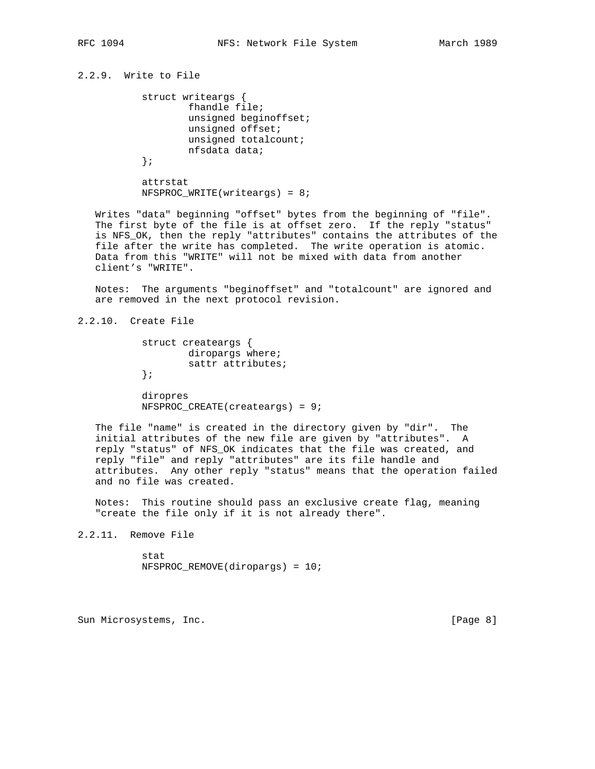2.2.9. Write to File

```
 struct writeargs {
         fhandle file;
         unsigned beginoffset;
         unsigned offset;
         unsigned totalcount;
         nfsdata data;
 };
```
 attrstat NFSPROC\_WRITE(writeargs) = 8;

 Writes "data" beginning "offset" bytes from the beginning of "file". The first byte of the file is at offset zero. If the reply "status" is NFS\_OK, then the reply "attributes" contains the attributes of the file after the write has completed. The write operation is atomic. Data from this "WRITE" will not be mixed with data from another client's "WRITE".

 Notes: The arguments "beginoffset" and "totalcount" are ignored and are removed in the next protocol revision.

2.2.10. Create File

```
 struct createargs {
         diropargs where;
         sattr attributes;
 };
```
 diropres NFSPROC\_CREATE(createargs) = 9;

 The file "name" is created in the directory given by "dir". The initial attributes of the new file are given by "attributes". A reply "status" of NFS\_OK indicates that the file was created, and reply "file" and reply "attributes" are its file handle and attributes. Any other reply "status" means that the operation failed and no file was created.

 Notes: This routine should pass an exclusive create flag, meaning "create the file only if it is not already there".

2.2.11. Remove File

 stat NFSPROC\_REMOVE(diropargs) = 10;

Sun Microsystems, Inc. [Page 8]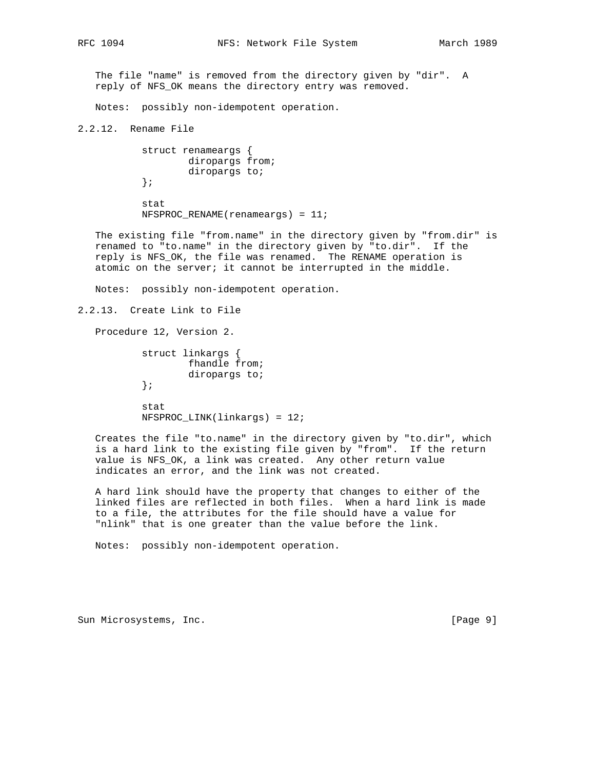The file "name" is removed from the directory given by "dir". A reply of NFS\_OK means the directory entry was removed.

Notes: possibly non-idempotent operation.

2.2.12. Rename File

```
 struct renameargs {
         diropargs from;
          diropargs to;
 };
```
 stat NFSPROC\_RENAME(renameargs) = 11;

 The existing file "from.name" in the directory given by "from.dir" is renamed to "to.name" in the directory given by "to.dir". If the reply is NFS\_OK, the file was renamed. The RENAME operation is atomic on the server; it cannot be interrupted in the middle.

Notes: possibly non-idempotent operation.

```
2.2.13. Create Link to File
```
Procedure 12, Version 2.

```
 struct linkargs {
          fhandle from;
         diropargs to;
 };
 stat
 NFSPROC_LINK(linkargs) = 12;
```
 Creates the file "to.name" in the directory given by "to.dir", which is a hard link to the existing file given by "from". If the return value is NFS\_OK, a link was created. Any other return value indicates an error, and the link was not created.

 A hard link should have the property that changes to either of the linked files are reflected in both files. When a hard link is made to a file, the attributes for the file should have a value for "nlink" that is one greater than the value before the link.

Notes: possibly non-idempotent operation.

Sun Microsystems, Inc. [Page 9]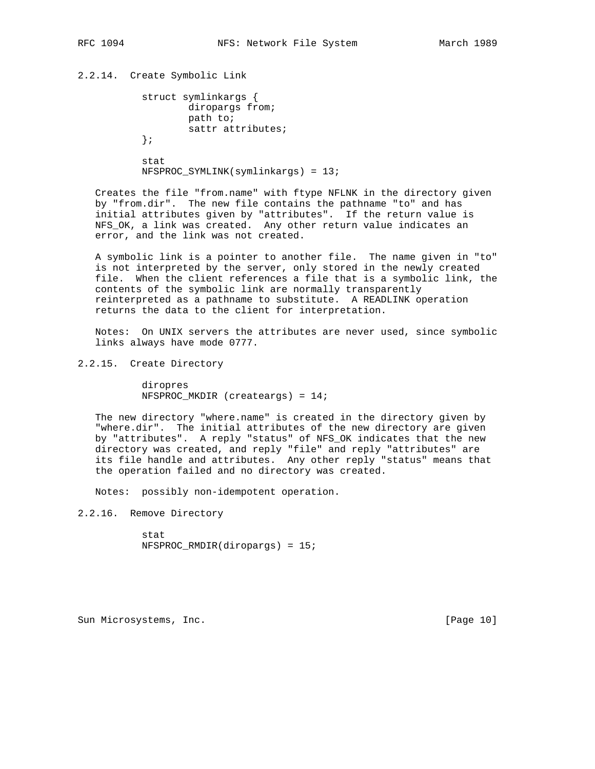# 2.2.14. Create Symbolic Link

```
 struct symlinkargs {
         diropargs from;
         path to;
         sattr attributes;
 };
```
 stat NFSPROC\_SYMLINK(symlinkargs) = 13;

 Creates the file "from.name" with ftype NFLNK in the directory given by "from.dir". The new file contains the pathname "to" and has initial attributes given by "attributes". If the return value is NFS\_OK, a link was created. Any other return value indicates an error, and the link was not created.

 A symbolic link is a pointer to another file. The name given in "to" is not interpreted by the server, only stored in the newly created file. When the client references a file that is a symbolic link, the contents of the symbolic link are normally transparently reinterpreted as a pathname to substitute. A READLINK operation returns the data to the client for interpretation.

 Notes: On UNIX servers the attributes are never used, since symbolic links always have mode 0777.

2.2.15. Create Directory

 diropres NFSPROC\_MKDIR (createargs) = 14;

 The new directory "where.name" is created in the directory given by "where.dir". The initial attributes of the new directory are given by "attributes". A reply "status" of NFS\_OK indicates that the new directory was created, and reply "file" and reply "attributes" are its file handle and attributes. Any other reply "status" means that the operation failed and no directory was created.

Notes: possibly non-idempotent operation.

2.2.16. Remove Directory

 stat NFSPROC\_RMDIR(diropargs) = 15;

Sun Microsystems, Inc. [Page 10]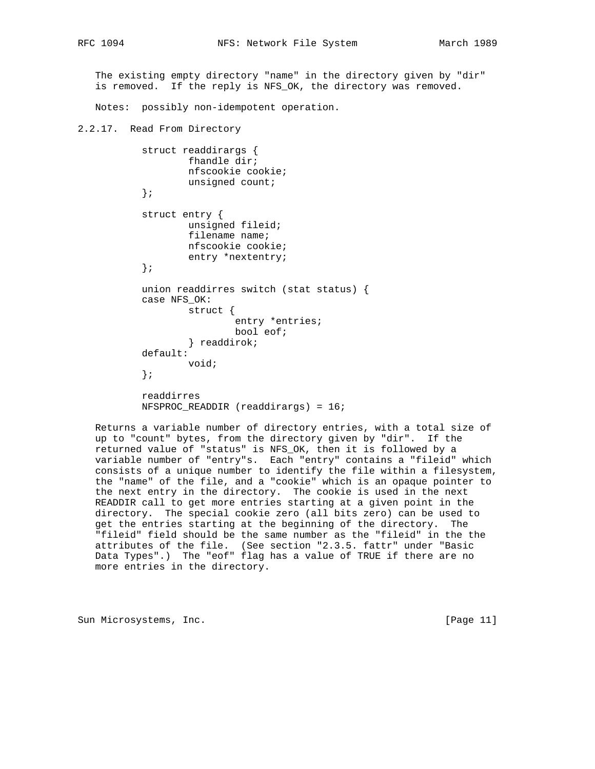The existing empty directory "name" in the directory given by "dir" is removed. If the reply is NFS\_OK, the directory was removed.

Notes: possibly non-idempotent operation.

```
2.2.17. Read From Directory
```

```
 struct readdirargs {
         fhandle dir;
         nfscookie cookie;
         unsigned count;
 };
 struct entry {
         unsigned fileid;
         filename name;
         nfscookie cookie;
         entry *nextentry;
 };
 union readdirres switch (stat status) {
 case NFS_OK:
         struct {
                 entry *entries;
                  bool eof;
          } readdirok;
 default:
         void;
 };
 readdirres
 NFSPROC_READDIR (readdirargs) = 16;
```
 Returns a variable number of directory entries, with a total size of up to "count" bytes, from the directory given by "dir". If the returned value of "status" is NFS\_OK, then it is followed by a variable number of "entry"s. Each "entry" contains a "fileid" which consists of a unique number to identify the file within a filesystem, the "name" of the file, and a "cookie" which is an opaque pointer to the next entry in the directory. The cookie is used in the next READDIR call to get more entries starting at a given point in the directory. The special cookie zero (all bits zero) can be used to get the entries starting at the beginning of the directory. The "fileid" field should be the same number as the "fileid" in the the attributes of the file. (See section "2.3.5. fattr" under "Basic Data Types".) The "eof" flag has a value of TRUE if there are no more entries in the directory.

Sun Microsystems, Inc. [Page 11]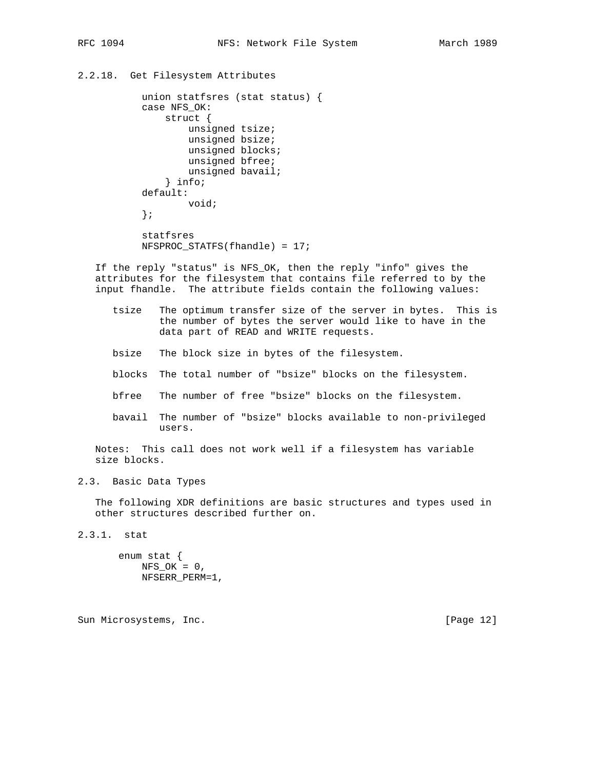```
2.2.18. Get Filesystem Attributes
```

```
 union statfsres (stat status) {
 case NFS_OK:
     struct {
         unsigned tsize;
         unsigned bsize;
         unsigned blocks;
         unsigned bfree;
         unsigned bavail;
     } info;
 default:
         void;
 };
 statfsres
 NFSPROC_STATFS(fhandle) = 17;
```
 If the reply "status" is NFS\_OK, then the reply "info" gives the attributes for the filesystem that contains file referred to by the input fhandle. The attribute fields contain the following values:

- tsize The optimum transfer size of the server in bytes. This is the number of bytes the server would like to have in the data part of READ and WRITE requests.
- bsize The block size in bytes of the filesystem.
- blocks The total number of "bsize" blocks on the filesystem.
- bfree The number of free "bsize" blocks on the filesystem.
- bavail The number of "bsize" blocks available to non-privileged users.

 Notes: This call does not work well if a filesystem has variable size blocks.

# 2.3. Basic Data Types

 The following XDR definitions are basic structures and types used in other structures described further on.

2.3.1. stat

 enum stat {  $NFS_OK = 0$ , NFSERR\_PERM=1,

Sun Microsystems, Inc. [Page 12]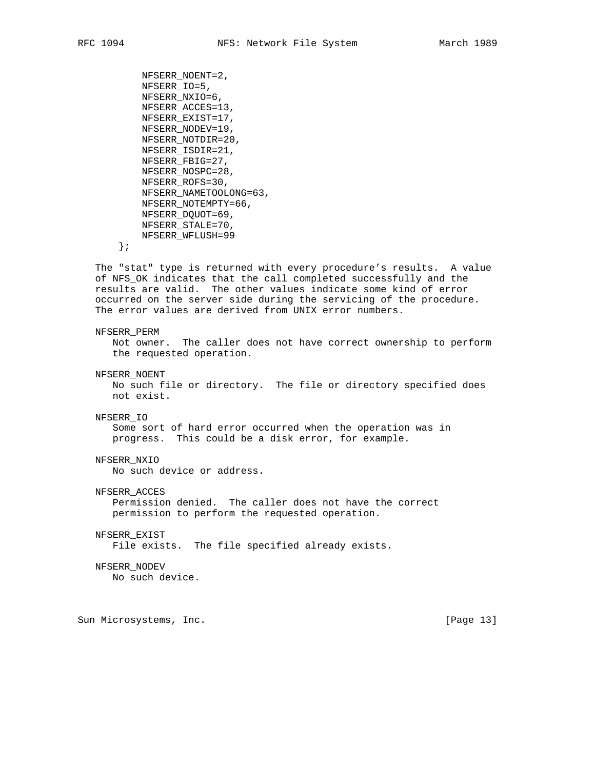```
 NFSERR_NOENT=2,
     NFSERR_IO=5,
     NFSERR_NXIO=6,
     NFSERR_ACCES=13,
     NFSERR_EXIST=17,
     NFSERR_NODEV=19,
     NFSERR_NOTDIR=20,
     NFSERR_ISDIR=21,
     NFSERR_FBIG=27,
     NFSERR_NOSPC=28,
     NFSERR_ROFS=30,
     NFSERR_NAMETOOLONG=63,
     NFSERR_NOTEMPTY=66,
     NFSERR_DQUOT=69,
     NFSERR_STALE=70,
     NFSERR_WFLUSH=99
 };
```
 The "stat" type is returned with every procedure's results. A value of NFS\_OK indicates that the call completed successfully and the results are valid. The other values indicate some kind of error occurred on the server side during the servicing of the procedure. The error values are derived from UNIX error numbers.

#### NFSERR\_PERM

 Not owner. The caller does not have correct ownership to perform the requested operation.

NFSERR\_NOENT

 No such file or directory. The file or directory specified does not exist.

## NFSERR\_IO

 Some sort of hard error occurred when the operation was in progress. This could be a disk error, for example.

# NFSERR\_NXIO

No such device or address.

# NFSERR\_ACCES

 Permission denied. The caller does not have the correct permission to perform the requested operation.

### NFSERR\_EXIST

File exists. The file specified already exists.

#### NFSERR\_NODEV

No such device.

Sun Microsystems, Inc. [Page 13]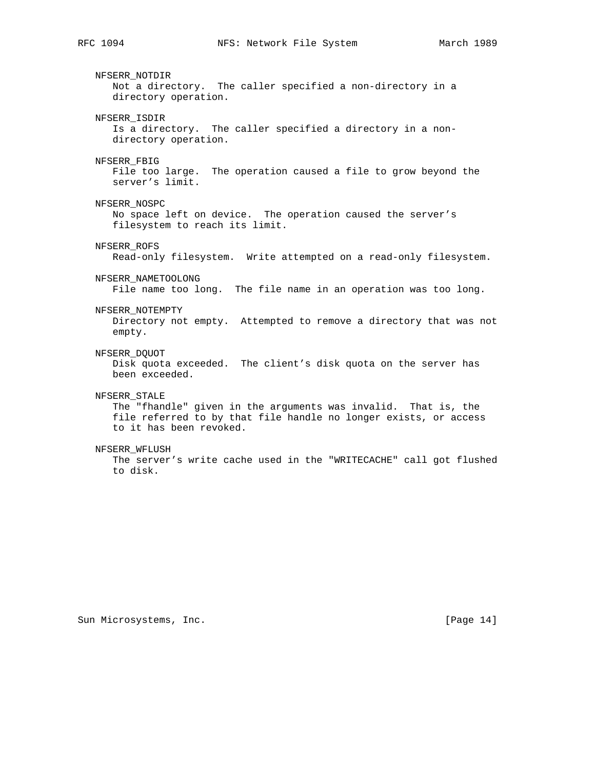NFSERR\_NOTDIR Not a directory. The caller specified a non-directory in a directory operation. NFSERR\_ISDIR Is a directory. The caller specified a directory in a non directory operation. NFSERR\_FBIG File too large. The operation caused a file to grow beyond the server's limit. NFSERR\_NOSPC No space left on device. The operation caused the server's filesystem to reach its limit. NFSERR\_ROFS Read-only filesystem. Write attempted on a read-only filesystem. NFSERR\_NAMETOOLONG File name too long. The file name in an operation was too long. NFSERR\_NOTEMPTY Directory not empty. Attempted to remove a directory that was not empty. NFSERR\_DQUOT Disk quota exceeded. The client's disk quota on the server has been exceeded. NFSERR\_STALE The "fhandle" given in the arguments was invalid. That is, the file referred to by that file handle no longer exists, or access to it has been revoked. NFSERR\_WFLUSH The server's write cache used in the "WRITECACHE" call got flushed to disk.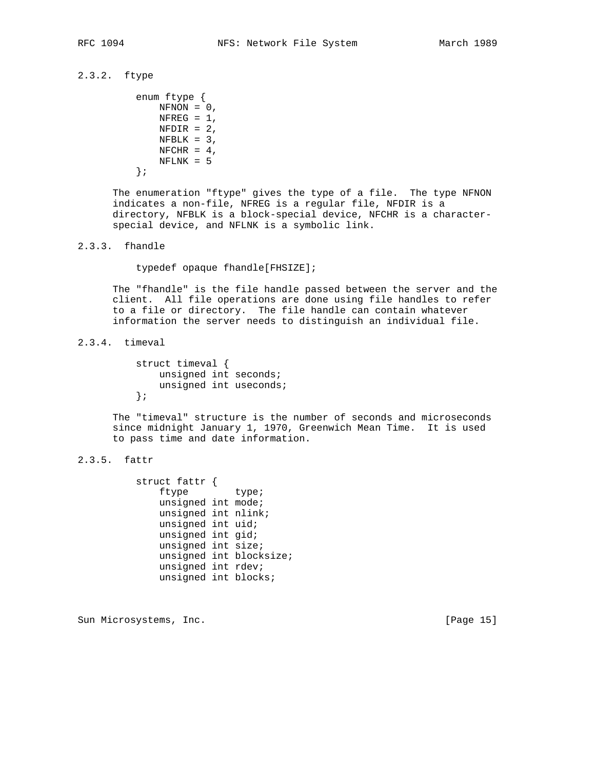# 2.3.2. ftype

```
 enum ftype {
    NFNON = 0,
    NFREG = 1,
    NFDIR = 2,
    NFBLK = 3,
    NFCHR = 4,
     NFLNK = 5
```
};

 The enumeration "ftype" gives the type of a file. The type NFNON indicates a non-file, NFREG is a regular file, NFDIR is a directory, NFBLK is a block-special device, NFCHR is a character special device, and NFLNK is a symbolic link.

# 2.3.3. fhandle

typedef opaque fhandle[FHSIZE];

 The "fhandle" is the file handle passed between the server and the client. All file operations are done using file handles to refer to a file or directory. The file handle can contain whatever information the server needs to distinguish an individual file.

# 2.3.4. timeval

 struct timeval { unsigned int seconds; unsigned int useconds; };

 The "timeval" structure is the number of seconds and microseconds since midnight January 1, 1970, Greenwich Mean Time. It is used to pass time and date information.

# 2.3.5. fattr

 struct fattr { ftype type; unsigned int mode; unsigned int nlink; unsigned int uid; unsigned int gid; unsigned int size; unsigned int blocksize; unsigned int rdev; unsigned int blocks;

Sun Microsystems, Inc. [Page 15]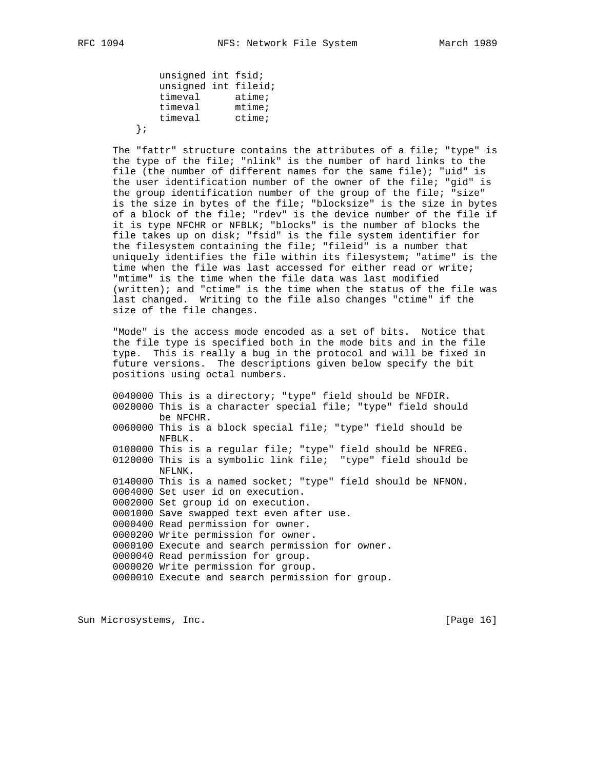unsigned int fsid; unsigned int fileid; timeval atime; timeval mtime; timeval ctime; };

> The "fattr" structure contains the attributes of a file; "type" is the type of the file; "nlink" is the number of hard links to the file (the number of different names for the same file); "uid" is the user identification number of the owner of the file; "gid" is the group identification number of the group of the file; "size" is the size in bytes of the file; "blocksize" is the size in bytes of a block of the file; "rdev" is the device number of the file if it is type NFCHR or NFBLK; "blocks" is the number of blocks the file takes up on disk; "fsid" is the file system identifier for the filesystem containing the file; "fileid" is a number that uniquely identifies the file within its filesystem; "atime" is the time when the file was last accessed for either read or write; "mtime" is the time when the file data was last modified (written); and "ctime" is the time when the status of the file was last changed. Writing to the file also changes "ctime" if the size of the file changes.

 "Mode" is the access mode encoded as a set of bits. Notice that the file type is specified both in the mode bits and in the file type. This is really a bug in the protocol and will be fixed in future versions. The descriptions given below specify the bit positions using octal numbers.

 0040000 This is a directory; "type" field should be NFDIR. 0020000 This is a character special file; "type" field should be NFCHR. 0060000 This is a block special file; "type" field should be NFBLK. 0100000 This is a regular file; "type" field should be NFREG. 0120000 This is a symbolic link file; "type" field should be NFLNK. 0140000 This is a named socket; "type" field should be NFNON. 0004000 Set user id on execution. 0002000 Set group id on execution. 0001000 Save swapped text even after use. 0000400 Read permission for owner. 0000200 Write permission for owner. 0000100 Execute and search permission for owner. 0000040 Read permission for group. 0000020 Write permission for group. 0000010 Execute and search permission for group.

Sun Microsystems, Inc. [Page 16]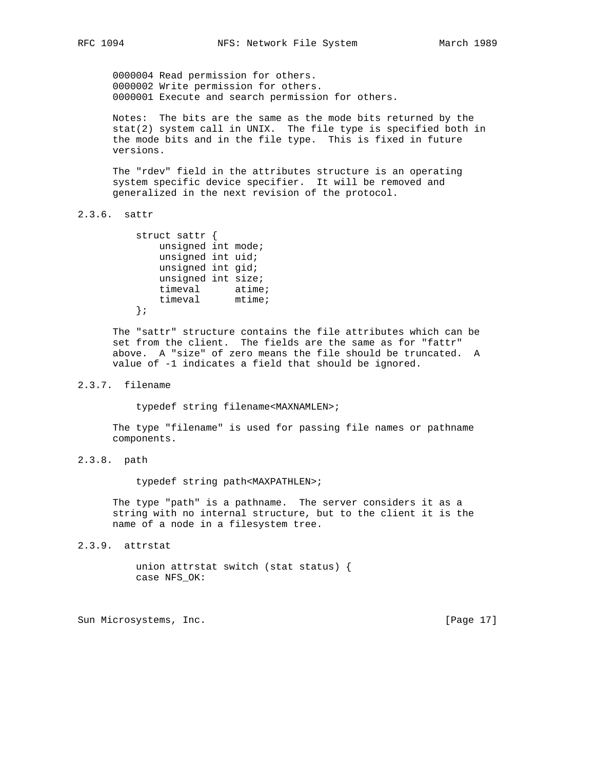0000004 Read permission for others. 0000002 Write permission for others. 0000001 Execute and search permission for others.

 Notes: The bits are the same as the mode bits returned by the stat(2) system call in UNIX. The file type is specified both in the mode bits and in the file type. This is fixed in future versions.

 The "rdev" field in the attributes structure is an operating system specific device specifier. It will be removed and generalized in the next revision of the protocol.

# 2.3.6. sattr

 struct sattr { unsigned int mode; unsigned int uid; unsigned int gid; unsigned int size; timeval atime; timeval mtime; };

 The "sattr" structure contains the file attributes which can be set from the client. The fields are the same as for "fattr" above. A "size" of zero means the file should be truncated. A value of -1 indicates a field that should be ignored.

# 2.3.7. filename

typedef string filename<MAXNAMLEN>;

 The type "filename" is used for passing file names or pathname components.

2.3.8. path

typedef string path<MAXPATHLEN>;

 The type "path" is a pathname. The server considers it as a string with no internal structure, but to the client it is the name of a node in a filesystem tree.

2.3.9. attrstat

 union attrstat switch (stat status) { case NFS\_OK:

Sun Microsystems, Inc. [Page 17]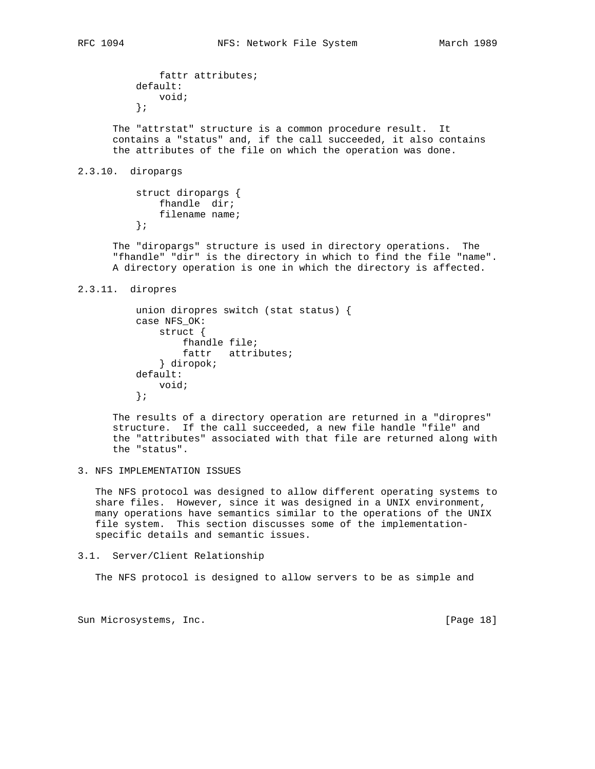```
 fattr attributes;
 default:
     void;
 };
```
 The "attrstat" structure is a common procedure result. It contains a "status" and, if the call succeeded, it also contains the attributes of the file on which the operation was done.

# 2.3.10. diropargs

```
 struct diropargs {
     fhandle dir;
     filename name;
 };
```
 The "diropargs" structure is used in directory operations. The "fhandle" "dir" is the directory in which to find the file "name". A directory operation is one in which the directory is affected.

2.3.11. diropres

```
 union diropres switch (stat status) {
 case NFS_OK:
     struct {
         fhandle file;
         fattr attributes;
     } diropok;
 default:
     void;
 };
```
 The results of a directory operation are returned in a "diropres" structure. If the call succeeded, a new file handle "file" and the "attributes" associated with that file are returned along with the "status".

3. NFS IMPLEMENTATION ISSUES

 The NFS protocol was designed to allow different operating systems to share files. However, since it was designed in a UNIX environment, many operations have semantics similar to the operations of the UNIX file system. This section discusses some of the implementation specific details and semantic issues.

3.1. Server/Client Relationship

The NFS protocol is designed to allow servers to be as simple and

Sun Microsystems, Inc. [Page 18]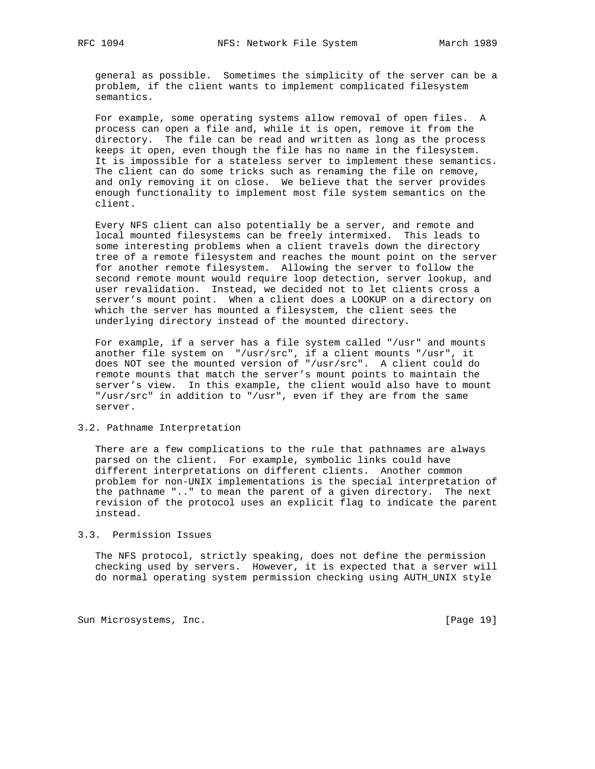general as possible. Sometimes the simplicity of the server can be a problem, if the client wants to implement complicated filesystem semantics.

 For example, some operating systems allow removal of open files. A process can open a file and, while it is open, remove it from the directory. The file can be read and written as long as the process keeps it open, even though the file has no name in the filesystem. It is impossible for a stateless server to implement these semantics. The client can do some tricks such as renaming the file on remove, and only removing it on close. We believe that the server provides enough functionality to implement most file system semantics on the client.

 Every NFS client can also potentially be a server, and remote and local mounted filesystems can be freely intermixed. This leads to some interesting problems when a client travels down the directory tree of a remote filesystem and reaches the mount point on the server for another remote filesystem. Allowing the server to follow the second remote mount would require loop detection, server lookup, and user revalidation. Instead, we decided not to let clients cross a server's mount point. When a client does a LOOKUP on a directory on which the server has mounted a filesystem, the client sees the underlying directory instead of the mounted directory.

 For example, if a server has a file system called "/usr" and mounts another file system on "/usr/src", if a client mounts "/usr", it does NOT see the mounted version of "/usr/src". A client could do remote mounts that match the server's mount points to maintain the server's view. In this example, the client would also have to mount "/usr/src" in addition to "/usr", even if they are from the same server.

# 3.2. Pathname Interpretation

 There are a few complications to the rule that pathnames are always parsed on the client. For example, symbolic links could have different interpretations on different clients. Another common problem for non-UNIX implementations is the special interpretation of the pathname ".." to mean the parent of a given directory. The next revision of the protocol uses an explicit flag to indicate the parent instead.

#### 3.3. Permission Issues

 The NFS protocol, strictly speaking, does not define the permission checking used by servers. However, it is expected that a server will do normal operating system permission checking using AUTH\_UNIX style

Sun Microsystems, Inc. [Page 19]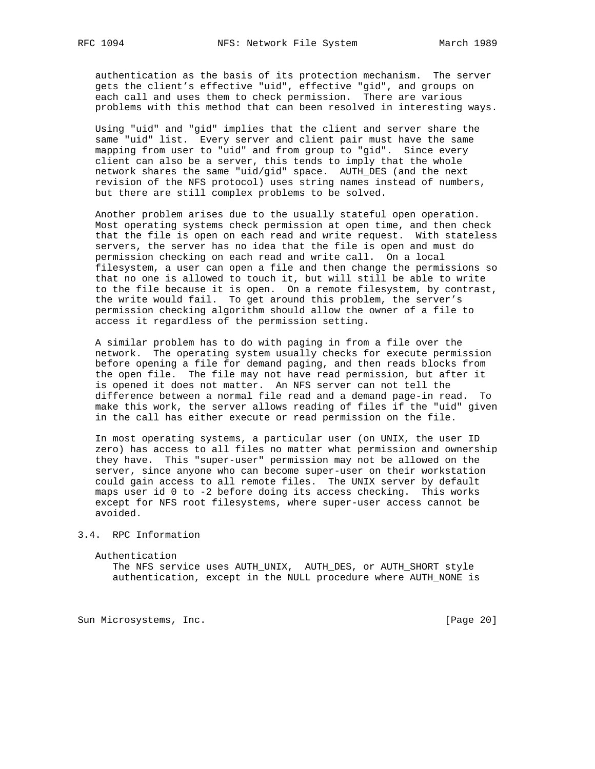authentication as the basis of its protection mechanism. The server gets the client's effective "uid", effective "gid", and groups on each call and uses them to check permission. There are various problems with this method that can been resolved in interesting ways.

 Using "uid" and "gid" implies that the client and server share the same "uid" list. Every server and client pair must have the same mapping from user to "uid" and from group to "gid". Since every client can also be a server, this tends to imply that the whole network shares the same "uid/gid" space. AUTH\_DES (and the next revision of the NFS protocol) uses string names instead of numbers, but there are still complex problems to be solved.

 Another problem arises due to the usually stateful open operation. Most operating systems check permission at open time, and then check that the file is open on each read and write request. With stateless servers, the server has no idea that the file is open and must do permission checking on each read and write call. On a local filesystem, a user can open a file and then change the permissions so that no one is allowed to touch it, but will still be able to write to the file because it is open. On a remote filesystem, by contrast, the write would fail. To get around this problem, the server's permission checking algorithm should allow the owner of a file to access it regardless of the permission setting.

 A similar problem has to do with paging in from a file over the network. The operating system usually checks for execute permission before opening a file for demand paging, and then reads blocks from the open file. The file may not have read permission, but after it is opened it does not matter. An NFS server can not tell the difference between a normal file read and a demand page-in read. To make this work, the server allows reading of files if the "uid" given in the call has either execute or read permission on the file.

 In most operating systems, a particular user (on UNIX, the user ID zero) has access to all files no matter what permission and ownership they have. This "super-user" permission may not be allowed on the server, since anyone who can become super-user on their workstation could gain access to all remote files. The UNIX server by default maps user id 0 to -2 before doing its access checking. This works except for NFS root filesystems, where super-user access cannot be avoided.

# 3.4. RPC Information

Authentication

 The NFS service uses AUTH\_UNIX, AUTH\_DES, or AUTH\_SHORT style authentication, except in the NULL procedure where AUTH\_NONE is

Sun Microsystems, Inc. [Page 20]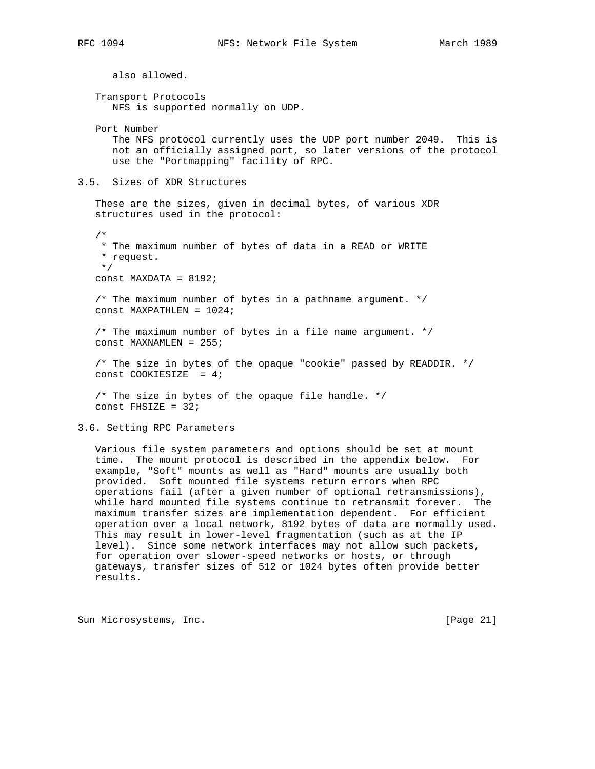also allowed. Transport Protocols NFS is supported normally on UDP. Port Number The NFS protocol currently uses the UDP port number 2049. This is not an officially assigned port, so later versions of the protocol use the "Portmapping" facility of RPC. 3.5. Sizes of XDR Structures These are the sizes, given in decimal bytes, of various XDR structures used in the protocol: /\* \* The maximum number of bytes of data in a READ or WRITE \* request. \*/ const MAXDATA =  $8192$ ; /\* The maximum number of bytes in a pathname argument. \*/ const MAXPATHLEN = 1024; /\* The maximum number of bytes in a file name argument. \*/ const MAXNAMLEN = 255; /\* The size in bytes of the opaque "cookie" passed by READDIR. \*/ const COOKIESIZE = 4;  $/*$  The size in bytes of the opaque file handle.  $*/$ const FHSIZE =  $32$ ;

3.6. Setting RPC Parameters

 Various file system parameters and options should be set at mount time. The mount protocol is described in the appendix below. For example, "Soft" mounts as well as "Hard" mounts are usually both provided. Soft mounted file systems return errors when RPC operations fail (after a given number of optional retransmissions), while hard mounted file systems continue to retransmit forever. The maximum transfer sizes are implementation dependent. For efficient operation over a local network, 8192 bytes of data are normally used. This may result in lower-level fragmentation (such as at the IP level). Since some network interfaces may not allow such packets, for operation over slower-speed networks or hosts, or through gateways, transfer sizes of 512 or 1024 bytes often provide better results.

Sun Microsystems, Inc. [Page 21]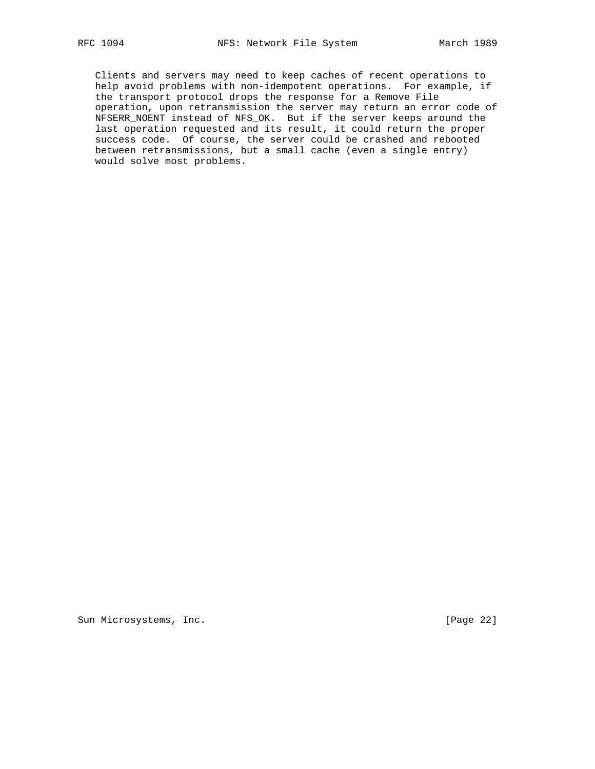Clients and servers may need to keep caches of recent operations to help avoid problems with non-idempotent operations. For example, if the transport protocol drops the response for a Remove File operation, upon retransmission the server may return an error code of NFSERR\_NOENT instead of NFS\_OK. But if the server keeps around the last operation requested and its result, it could return the proper success code. Of course, the server could be crashed and rebooted between retransmissions, but a small cache (even a single entry) would solve most problems.

Sun Microsystems, Inc. [Page 22]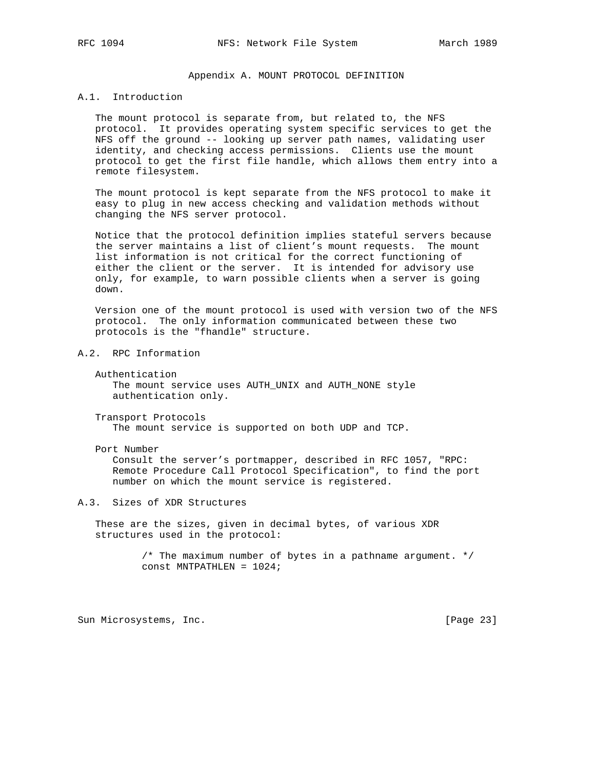## Appendix A. MOUNT PROTOCOL DEFINITION

# A.1. Introduction

 The mount protocol is separate from, but related to, the NFS protocol. It provides operating system specific services to get the NFS off the ground -- looking up server path names, validating user identity, and checking access permissions. Clients use the mount protocol to get the first file handle, which allows them entry into a remote filesystem.

 The mount protocol is kept separate from the NFS protocol to make it easy to plug in new access checking and validation methods without changing the NFS server protocol.

 Notice that the protocol definition implies stateful servers because the server maintains a list of client's mount requests. The mount list information is not critical for the correct functioning of either the client or the server. It is intended for advisory use only, for example, to warn possible clients when a server is going down.

 Version one of the mount protocol is used with version two of the NFS protocol. The only information communicated between these two protocols is the "fhandle" structure.

# A.2. RPC Information

 Authentication The mount service uses AUTH\_UNIX and AUTH\_NONE style authentication only.

 Transport Protocols The mount service is supported on both UDP and TCP.

Port Number

 Consult the server's portmapper, described in RFC 1057, "RPC: Remote Procedure Call Protocol Specification", to find the port number on which the mount service is registered.

# A.3. Sizes of XDR Structures

 These are the sizes, given in decimal bytes, of various XDR structures used in the protocol:

> /\* The maximum number of bytes in a pathname argument. \*/ const MNTPATHLEN = 1024;

Sun Microsystems, Inc. [Page 23]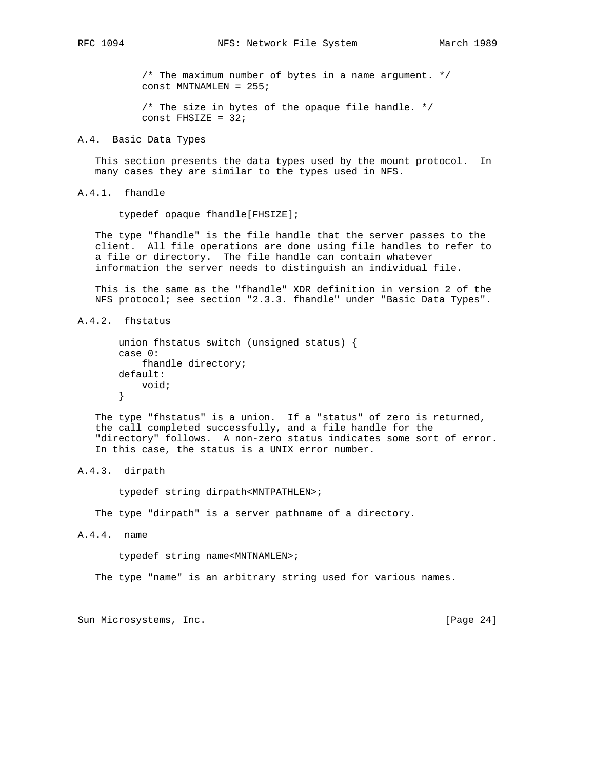/\* The maximum number of bytes in a name argument. \*/ const MNTNAMLEN = 255;

 /\* The size in bytes of the opaque file handle. \*/ const FHSIZE =  $32;$ 

## A.4. Basic Data Types

 This section presents the data types used by the mount protocol. In many cases they are similar to the types used in NFS.

A.4.1. fhandle

typedef opaque fhandle[FHSIZE];

 The type "fhandle" is the file handle that the server passes to the client. All file operations are done using file handles to refer to a file or directory. The file handle can contain whatever information the server needs to distinguish an individual file.

 This is the same as the "fhandle" XDR definition in version 2 of the NFS protocol; see section "2.3.3. fhandle" under "Basic Data Types".

A.4.2. fhstatus

```
 union fhstatus switch (unsigned status) {
 case 0:
     fhandle directory;
 default:
     void;
 }
```
 The type "fhstatus" is a union. If a "status" of zero is returned, the call completed successfully, and a file handle for the "directory" follows. A non-zero status indicates some sort of error. In this case, the status is a UNIX error number.

# A.4.3. dirpath

typedef string dirpath<MNTPATHLEN>;

The type "dirpath" is a server pathname of a directory.

A.4.4. name

typedef string name<MNTNAMLEN>;

The type "name" is an arbitrary string used for various names.

Sun Microsystems, Inc. [Page 24]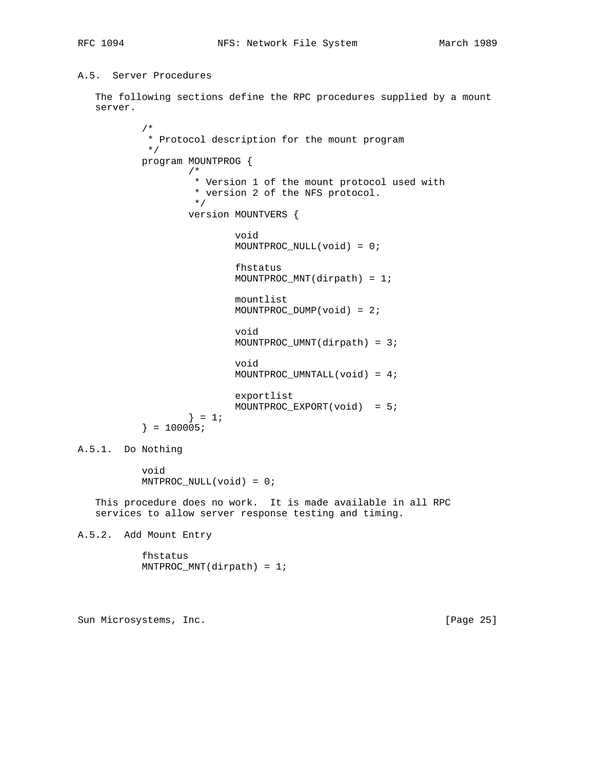# A.5. Server Procedures

 The following sections define the RPC procedures supplied by a mount server.

```
 /*
             * Protocol description for the mount program
            */
           program MOUNTPROG {
 /*
                    * Version 1 of the mount protocol used with
                   * version 2 of the NFS protocol.<br>*/
\star/ version MOUNTVERS {
                           void
                           MOUNTPROC_NULL(void) = 0;
                           fhstatus
                           MOUNTPROC_MNT(dirpath) = 1;
                           mountlist
                           MOUNTPROC_DUMP(void) = 2;
                           void
                           MOUNTPROC_UMNT(dirpath) = 3;
                           void
                           MOUNTPROC_UMNTALL(void) = 4;
                           exportlist
                           MOUNTPROC_EXPORT(void) = 5;
                   } = 1;} = 100005;A.5.1. Do Nothing
```
 void MNTPROC\_NULL(void) = 0;

 This procedure does no work. It is made available in all RPC services to allow server response testing and timing.

A.5.2. Add Mount Entry

 fhstatus MNTPROC\_MNT(dirpath) = 1;

Sun Microsystems, Inc. [Page 25]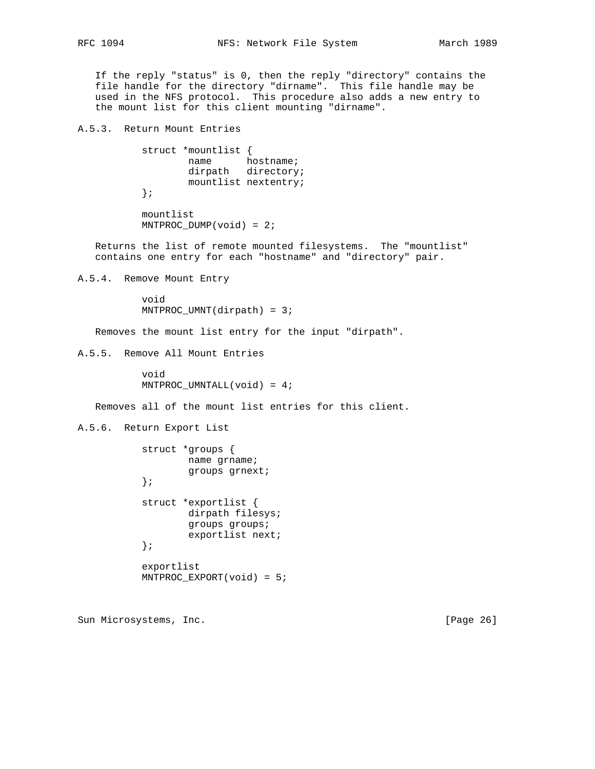If the reply "status" is 0, then the reply "directory" contains the file handle for the directory "dirname". This file handle may be used in the NFS protocol. This procedure also adds a new entry to the mount list for this client mounting "dirname".

A.5.3. Return Mount Entries

 struct \*mountlist { name hostname; dirpath directory; mountlist nextentry; };

 mountlist  $MNIPROC_DUMP(void) = 2;$ 

 Returns the list of remote mounted filesystems. The "mountlist" contains one entry for each "hostname" and "directory" pair.

A.5.4. Remove Mount Entry

 void MNTPROC\_UMNT(dirpath) = 3;

Removes the mount list entry for the input "dirpath".

A.5.5. Remove All Mount Entries

 void MNTPROC\_UMNTALL(void) = 4;

Removes all of the mount list entries for this client.

A.5.6. Return Export List

```
 struct *groups {
         name grname;
         groups grnext;
 };
 struct *exportlist {
         dirpath filesys;
         groups groups;
         exportlist next;
 };
 exportlist
 MNTPROC_EXPORT(void) = 5;
```
Sun Microsystems, Inc. [Page 26]